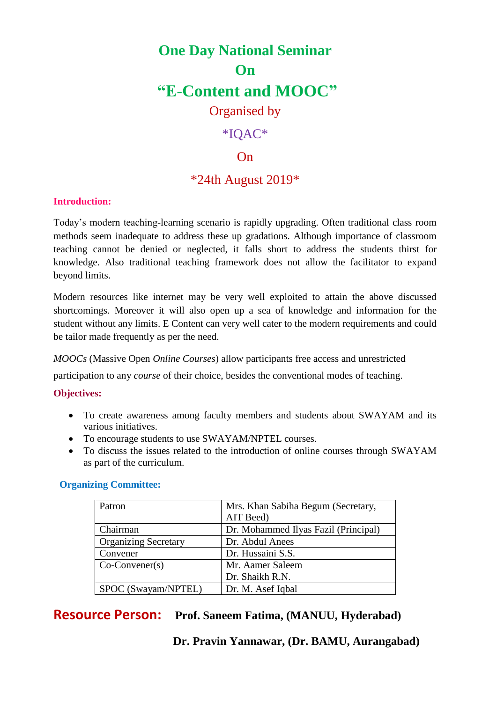# **One Day National Seminar On "E-Content and MOOC"** Organised by

# \*IQAC\*

### $On$

## \*24th August 2019\*

#### **Introduction:**

Today's modern teaching-learning scenario is rapidly upgrading. Often traditional class room methods seem inadequate to address these up gradations. Although importance of classroom teaching cannot be denied or neglected, it falls short to address the students thirst for knowledge. Also traditional teaching framework does not allow the facilitator to expand beyond limits.

Modern resources like internet may be very well exploited to attain the above discussed shortcomings. Moreover it will also open up a sea of knowledge and information for the student without any limits. E Content can very well cater to the modern requirements and could be tailor made frequently as per the need.

*MOOCs* (Massive Open *Online Courses*) allow participants free access and unrestricted

participation to any *course* of their choice, besides the conventional modes of teaching.

#### **Objectives:**

- To create awareness among faculty members and students about SWAYAM and its various initiatives.
- To encourage students to use SWAYAM/NPTEL courses.
- To discuss the issues related to the introduction of online courses through SWAYAM as part of the curriculum.

#### **Organizing Committee:**

| Patron                      | Mrs. Khan Sabiha Begum (Secretary,   |  |
|-----------------------------|--------------------------------------|--|
|                             | AIT Beed)                            |  |
| Chairman                    | Dr. Mohammed Ilyas Fazil (Principal) |  |
| <b>Organizing Secretary</b> | Dr. Abdul Anees                      |  |
| Convener                    | Dr. Hussaini S.S.                    |  |
| $Co-Convener(s)$            | Mr. Aamer Saleem                     |  |
|                             | Dr. Shaikh R.N.                      |  |
| SPOC (Swayam/NPTEL)         | Dr. M. Asef Iqbal                    |  |

# **Resource Person: Prof. Saneem Fatima, (MANUU, Hyderabad)**

#### **Dr. Pravin Yannawar, (Dr. BAMU, Aurangabad)**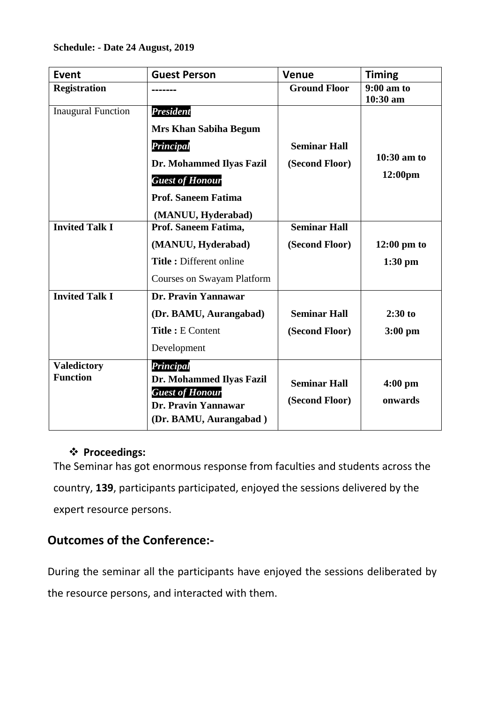| <b>Event</b>                          | <b>Guest Person</b>                                                                                              | <b>Venue</b>                          | <b>Timing</b>            |
|---------------------------------------|------------------------------------------------------------------------------------------------------------------|---------------------------------------|--------------------------|
| <b>Registration</b>                   |                                                                                                                  | <b>Ground Floor</b>                   | $9:00$ am to<br>10:30 am |
| <b>Inaugural Function</b>             | <b>President</b>                                                                                                 |                                       |                          |
|                                       | <b>Mrs Khan Sabiha Begum</b>                                                                                     |                                       |                          |
|                                       | Principal                                                                                                        | <b>Seminar Hall</b>                   |                          |
|                                       | Dr. Mohammed Ilyas Fazil                                                                                         | (Second Floor)                        | $10:30$ am to            |
|                                       | <b>Guest of Honour</b>                                                                                           |                                       | 12:00pm                  |
|                                       | <b>Prof. Saneem Fatima</b>                                                                                       |                                       |                          |
|                                       | (MANUU, Hyderabad)                                                                                               |                                       |                          |
| <b>Invited Talk I</b>                 | Prof. Saneem Fatima,                                                                                             | <b>Seminar Hall</b>                   |                          |
|                                       | (MANUU, Hyderabad)                                                                                               | (Second Floor)                        | $12:00 \text{ pm}$ to    |
|                                       | <b>Title:</b> Different online                                                                                   |                                       | $1:30$ pm                |
|                                       | <b>Courses on Swayam Platform</b>                                                                                |                                       |                          |
| <b>Invited Talk I</b>                 | Dr. Pravin Yannawar                                                                                              |                                       |                          |
|                                       | (Dr. BAMU, Aurangabad)                                                                                           | <b>Seminar Hall</b>                   | $2:30$ to                |
|                                       | Title: E Content                                                                                                 | (Second Floor)                        | $3:00$ pm                |
|                                       | Development                                                                                                      |                                       |                          |
| <b>Valedictory</b><br><b>Function</b> | Principal<br>Dr. Mohammed Ilyas Fazil<br><b>Guest of Honour</b><br>Dr. Pravin Yannawar<br>(Dr. BAMU, Aurangabad) | <b>Seminar Hall</b><br>(Second Floor) | $4:00$ pm<br>onwards     |

## **Proceedings:**

The Seminar has got enormous response from faculties and students across the country, **139**, participants participated, enjoyed the sessions delivered by the expert resource persons.

# **Outcomes of the Conference:-**

During the seminar all the participants have enjoyed the sessions deliberated by the resource persons, and interacted with them.